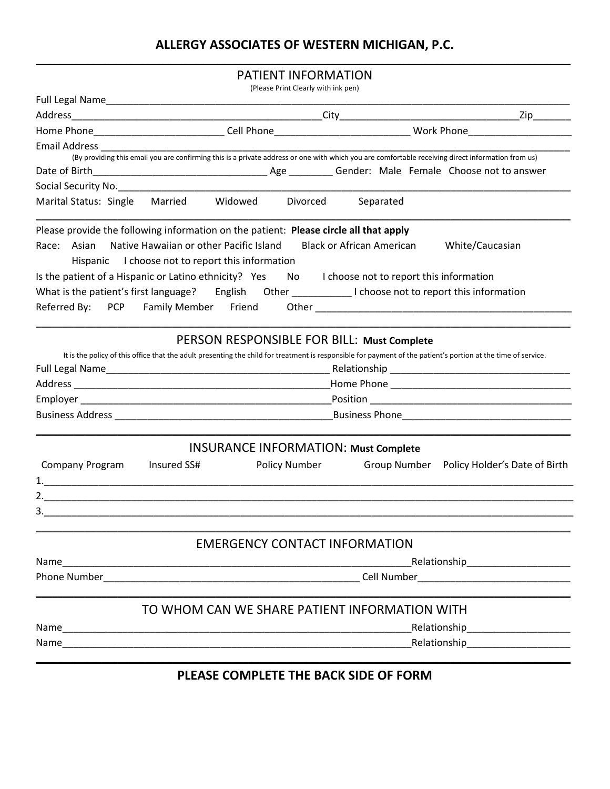# **ALLERGY ASSOCIATES OF WESTERN MICHIGAN, P.C.**

### **\_\_\_\_\_\_\_\_\_\_\_\_\_\_\_\_\_\_\_\_\_\_\_\_\_\_\_\_\_\_\_\_\_\_\_\_\_\_\_\_\_\_\_\_\_\_\_\_\_\_\_\_\_\_\_\_\_\_\_\_\_\_\_\_\_\_\_\_\_\_\_\_\_\_\_\_\_\_\_\_\_\_\_\_\_\_\_\_\_\_\_\_\_\_\_\_\_\_** PATIENT INFORMATION

|                                                                                                            |                                                                                                                                                                                                                                  | (Please Print Clearly with ink pen)           |                                  |                                                                                                                                                               |
|------------------------------------------------------------------------------------------------------------|----------------------------------------------------------------------------------------------------------------------------------------------------------------------------------------------------------------------------------|-----------------------------------------------|----------------------------------|---------------------------------------------------------------------------------------------------------------------------------------------------------------|
|                                                                                                            |                                                                                                                                                                                                                                  |                                               |                                  |                                                                                                                                                               |
|                                                                                                            |                                                                                                                                                                                                                                  |                                               |                                  |                                                                                                                                                               |
|                                                                                                            |                                                                                                                                                                                                                                  |                                               |                                  | Home Phone________________________________Cell Phone__________________________________Work Phone____________________                                          |
| Email Address                                                                                              |                                                                                                                                                                                                                                  |                                               |                                  |                                                                                                                                                               |
|                                                                                                            |                                                                                                                                                                                                                                  |                                               |                                  | (By providing this email you are confirming this is a private address or one with which you are comfortable receiving direct information from us)             |
|                                                                                                            |                                                                                                                                                                                                                                  |                                               |                                  |                                                                                                                                                               |
| Social Security No.                                                                                        |                                                                                                                                                                                                                                  |                                               |                                  |                                                                                                                                                               |
| Marital Status: Single Married Widowed Divorced                                                            |                                                                                                                                                                                                                                  |                                               | Separated                        |                                                                                                                                                               |
| Please provide the following information on the patient: Please circle all that apply                      |                                                                                                                                                                                                                                  |                                               |                                  |                                                                                                                                                               |
| Race: Asian Native Hawaiian or other Pacific Island                                                        | Hispanic I choose not to report this information                                                                                                                                                                                 |                                               | <b>Black or African American</b> | White/Caucasian                                                                                                                                               |
| Is the patient of a Hispanic or Latino ethnicity? Yes No I choose not to report this information           |                                                                                                                                                                                                                                  |                                               |                                  |                                                                                                                                                               |
| What is the patient's first language? English Other _______________I choose not to report this information |                                                                                                                                                                                                                                  |                                               |                                  |                                                                                                                                                               |
| Referred By: PCP Family Member Friend                                                                      |                                                                                                                                                                                                                                  |                                               |                                  |                                                                                                                                                               |
|                                                                                                            |                                                                                                                                                                                                                                  |                                               |                                  |                                                                                                                                                               |
|                                                                                                            |                                                                                                                                                                                                                                  | PERSON RESPONSIBLE FOR BILL: Must Complete    |                                  |                                                                                                                                                               |
|                                                                                                            |                                                                                                                                                                                                                                  |                                               |                                  | It is the policy of this office that the adult presenting the child for treatment is responsible for payment of the patient's portion at the time of service. |
|                                                                                                            |                                                                                                                                                                                                                                  |                                               |                                  |                                                                                                                                                               |
|                                                                                                            |                                                                                                                                                                                                                                  |                                               |                                  |                                                                                                                                                               |
|                                                                                                            |                                                                                                                                                                                                                                  |                                               |                                  |                                                                                                                                                               |
|                                                                                                            |                                                                                                                                                                                                                                  |                                               |                                  |                                                                                                                                                               |
|                                                                                                            |                                                                                                                                                                                                                                  | <b>INSURANCE INFORMATION: Must Complete</b>   |                                  |                                                                                                                                                               |
| Company Program                                                                                            | Insured SS#                                                                                                                                                                                                                      | <b>Policy Number</b>                          |                                  | Group Number Policy Holder's Date of Birth                                                                                                                    |
|                                                                                                            |                                                                                                                                                                                                                                  |                                               |                                  |                                                                                                                                                               |
|                                                                                                            |                                                                                                                                                                                                                                  |                                               |                                  |                                                                                                                                                               |
|                                                                                                            |                                                                                                                                                                                                                                  |                                               |                                  |                                                                                                                                                               |
|                                                                                                            |                                                                                                                                                                                                                                  |                                               |                                  |                                                                                                                                                               |
|                                                                                                            |                                                                                                                                                                                                                                  | <b>EMERGENCY CONTACT INFORMATION</b>          |                                  |                                                                                                                                                               |
| Name                                                                                                       | _Relationship________________________<br><u> 2000 - Jan James James James James James James James James James James James James James James James James J</u>                                                                    |                                               |                                  |                                                                                                                                                               |
|                                                                                                            |                                                                                                                                                                                                                                  |                                               |                                  | Cell Number <b>Cell Number Cell Number</b>                                                                                                                    |
|                                                                                                            |                                                                                                                                                                                                                                  | TO WHOM CAN WE SHARE PATIENT INFORMATION WITH |                                  |                                                                                                                                                               |
| Name                                                                                                       | Relationship <sub>___________________________</sub>                                                                                                                                                                              |                                               |                                  |                                                                                                                                                               |
|                                                                                                            | Relationship<br>and the contract of the contract of the contract of the contract of the contract of the contract of the contract of the contract of the contract of the contract of the contract of the contract of the contract |                                               |                                  |                                                                                                                                                               |
|                                                                                                            |                                                                                                                                                                                                                                  | DI EASE COMPLETE THE RACK SIDE OF EODM        |                                  |                                                                                                                                                               |

# **PLEASE COMPLETE THE BACK SIDE OF FORM**